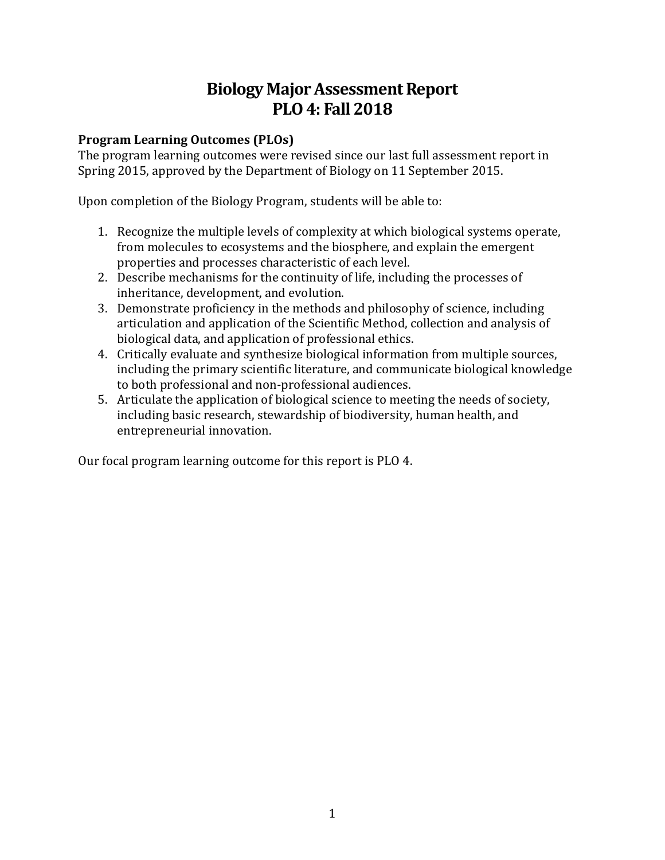# **Biology Major Assessment Report PLO 4: Fall 2018**

## **Program Learning Outcomes (PLOs)**

The program learning outcomes were revised since our last full assessment report in Spring 2015, approved by the Department of Biology on 11 September 2015.

Upon completion of the Biology Program, students will be able to:

- 1. Recognize the multiple levels of complexity at which biological systems operate, from molecules to ecosystems and the biosphere, and explain the emergent properties and processes characteristic of each level.
- 2. Describe mechanisms for the continuity of life, including the processes of inheritance, development, and evolution.
- 3. Demonstrate proficiency in the methods and philosophy of science, including articulation and application of the Scientific Method, collection and analysis of biological data, and application of professional ethics.
- 4. Critically evaluate and synthesize biological information from multiple sources, including the primary scientific literature, and communicate biological knowledge to both professional and non-professional audiences.
- 5. Articulate the application of biological science to meeting the needs of society, including basic research, stewardship of biodiversity, human health, and entrepreneurial innovation.

Our focal program learning outcome for this report is PLO 4.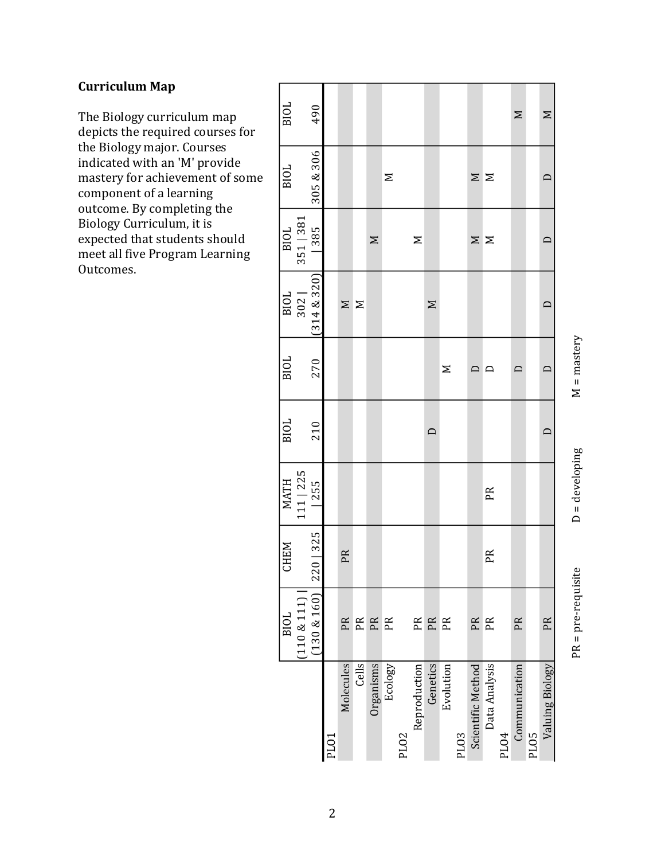## **Curriculum Map**

The Biology curriculum map depicts the required courses for the Biology major. Courses indicated with an 'M' provide mastery for achievement of some component of a learning outcome. By completing the Biology Curriculum, it is expected that students should meet all five Program Learning Outcomes.

|                   | BIOL               | <b>CHEM</b>  | MATH              | <b>BIOL</b> | BIOL          | <b>BIOL</b>     | BIOL      | BIOL      | <b>BIOL</b> |
|-------------------|--------------------|--------------|-------------------|-------------|---------------|-----------------|-----------|-----------|-------------|
|                   | (110 & 111)        |              | 111   225         |             |               | 302             | 351   381 |           |             |
|                   | (130 & 160)        | 0 325<br>22( | 255               | 210         | 270           | (314 & 8 & 320) | 385       | 305 & 306 | 490         |
| PLO1              |                    |              |                   |             |               |                 |           |           |             |
| Molecules         | PR                 | PR           |                   |             |               | $\geq$          |           |           |             |
| Cells             | PR                 |              |                   |             |               | Σ               |           |           |             |
| Organisms         | PR                 |              |                   |             |               |                 | $\geq$    |           |             |
| Ecology           | PR                 |              |                   |             |               |                 |           | Σ         |             |
| PL02              |                    |              |                   |             |               |                 |           |           |             |
| Reproduction      | PR                 |              |                   |             |               |                 | $\geq$    |           |             |
| Genetics          | PR                 |              |                   | $\Box$      |               | $\geq$          |           |           |             |
| Evolution         | PR                 |              |                   |             | Σ             |                 |           |           |             |
| PLO <sub>3</sub>  |                    |              |                   |             |               |                 |           |           |             |
| Scientific Method | PR                 |              |                   |             | $\Box$        |                 | $\geq$    | Σ         |             |
| Data Analysis     | PR                 | PR           | PR                |             | $\Box$        |                 | Σ         | $\geq$    |             |
| <b>PLO4</b>       |                    |              |                   |             |               |                 |           |           |             |
| Communication     | PR                 |              |                   |             | $\Box$        |                 |           |           | $\geq$      |
| PLO5              |                    |              |                   |             |               |                 |           |           |             |
| Valuing Biology   | PR                 |              |                   | $\Box$      | $\Box$        | $\Box$          | $\Box$    | $\Box$    | Σ           |
|                   |                    |              |                   |             |               |                 |           |           |             |
|                   | $PR = pre-require$ |              | $D = d$ eveloping |             | $M =$ mastery |                 |           |           |             |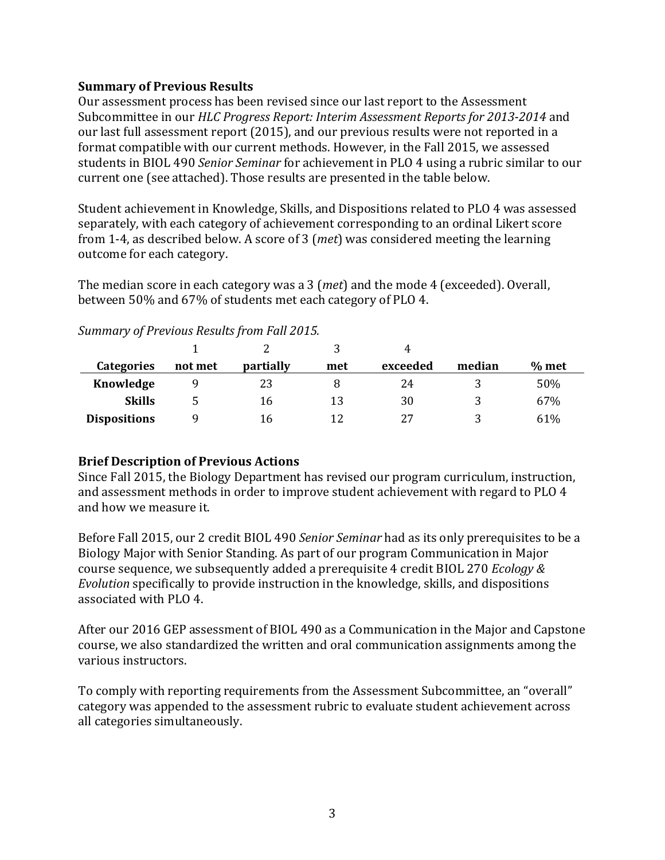#### **Summary of Previous Results**

Our assessment process has been revised since our last report to the Assessment Subcommittee in our *HLC Progress Report: Interim Assessment Reports for 2013-2014* and our last full assessment report (2015), and our previous results were not reported in a format compatible with our current methods. However, in the Fall 2015, we assessed students in BIOL 490 *Senior Seminar* for achievement in PLO 4 using a rubric similar to our current one (see attached). Those results are presented in the table below.

Student achievement in Knowledge, Skills, and Dispositions related to PLO 4 was assessed separately, with each category of achievement corresponding to an ordinal Likert score from 1-4, as described below. A score of 3 (met) was considered meeting the learning outcome for each category.

The median score in each category was a 3 (*met*) and the mode 4 (exceeded). Overall, between 50% and 67% of students met each category of PLO 4.

|                     |         |           |     | 4        |        |         |
|---------------------|---------|-----------|-----|----------|--------|---------|
| Categories          | not met | partially | met | exceeded | median | $%$ met |
| Knowledge           |         | 23        |     | 24       |        | 50%     |
| <b>Skills</b>       |         | 16        | 13  | 30       |        | 67%     |
| <b>Dispositions</b> |         | 16        |     | 27       |        | 61%     |

*Summary of Previous Results from Fall 2015.*

# **Brief Description of Previous Actions**

Since Fall 2015, the Biology Department has revised our program curriculum, instruction, and assessment methods in order to improve student achievement with regard to PLO 4 and how we measure it.

Before Fall 2015, our 2 credit BIOL 490 *Senior Seminar* had as its only prerequisites to be a Biology Major with Senior Standing. As part of our program Communication in Major course sequence, we subsequently added a prerequisite 4 credit BIOL 270 *Ecology & Evolution* specifically to provide instruction in the knowledge, skills, and dispositions associated with PLO 4.

After our 2016 GEP assessment of BIOL 490 as a Communication in the Major and Capstone course, we also standardized the written and oral communication assignments among the various instructors.

To comply with reporting requirements from the Assessment Subcommittee, an "overall" category was appended to the assessment rubric to evaluate student achievement across all categories simultaneously.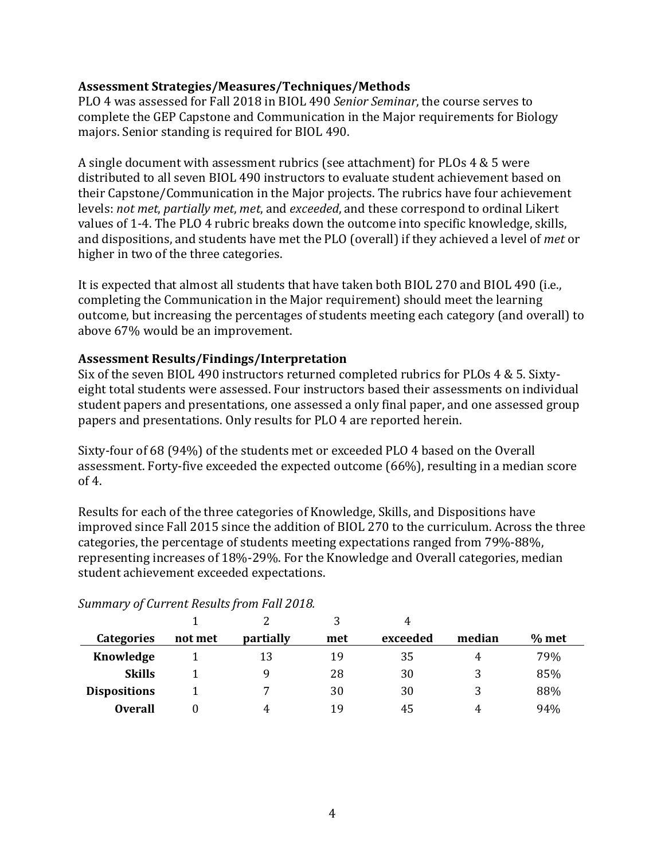#### **Assessment Strategies/Measures/Techniques/Methods**

PLO 4 was assessed for Fall 2018 in BIOL 490 *Senior Seminar*, the course serves to complete the GEP Capstone and Communication in the Major requirements for Biology majors. Senior standing is required for BIOL 490.

A single document with assessment rubrics (see attachment) for PLOs 4 & 5 were distributed to all seven BIOL 490 instructors to evaluate student achievement based on their Capstone/Communication in the Major projects. The rubrics have four achievement levels: not met, partially met, met, and exceeded, and these correspond to ordinal Likert values of 1-4. The PLO 4 rubric breaks down the outcome into specific knowledge, skills, and dispositions, and students have met the PLO (overall) if they achieved a level of *met* or higher in two of the three categories.

It is expected that almost all students that have taken both BIOL 270 and BIOL 490 (i.e., completing the Communication in the Major requirement) should meet the learning outcome, but increasing the percentages of students meeting each category (and overall) to above 67% would be an improvement.

#### **Assessment Results/Findings/Interpretation**

Six of the seven BIOL 490 instructors returned completed rubrics for PLOs 4 & 5. Sixtyeight total students were assessed. Four instructors based their assessments on individual student papers and presentations, one assessed a only final paper, and one assessed group papers and presentations. Only results for PLO 4 are reported herein.

Sixty-four of 68 (94%) of the students met or exceeded PLO 4 based on the Overall assessment. Forty-five exceeded the expected outcome (66%), resulting in a median score of  $4.$ 

Results for each of the three categories of Knowledge, Skills, and Dispositions have improved since Fall 2015 since the addition of BIOL 270 to the curriculum. Across the three categories, the percentage of students meeting expectations ranged from 79%-88%, representing increases of 18%-29%. For the Knowledge and Overall categories, median student achievement exceeded expectations.

|                     |         |           | 3   |          |        |         |
|---------------------|---------|-----------|-----|----------|--------|---------|
| <b>Categories</b>   | not met | partially | met | exceeded | median | $%$ met |
| Knowledge           |         | 13        | 19  | 35       | 4      | 79%     |
| <b>Skills</b>       |         | Q         | 28  | 30       |        | 85%     |
| <b>Dispositions</b> |         |           | 30  | 30       | 3      | 88%     |
| <b>Overall</b>      |         | 4         | 19  | 45       | 4      | 94%     |

#### *Summary of Current Results from Fall 2018.*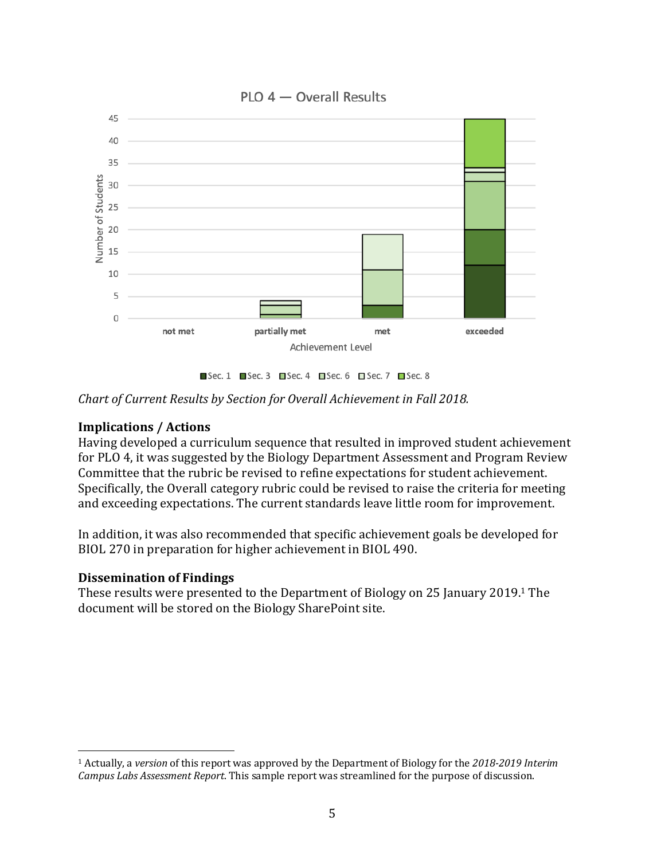

*Chart of Current Results by Section for Overall Achievement in Fall 2018.* 

## **Implications / Actions**

Having developed a curriculum sequence that resulted in improved student achievement for PLO 4, it was suggested by the Biology Department Assessment and Program Review Committee that the rubric be revised to refine expectations for student achievement. Specifically, the Overall category rubric could be revised to raise the criteria for meeting and exceeding expectations. The current standards leave little room for improvement.

In addition, it was also recommended that specific achievement goals be developed for BIOL 270 in preparation for higher achievement in BIOL 490.

#### **Dissemination of Findings**

 

These results were presented to the Department of Biology on 25 January 2019.<sup>1</sup> The document will be stored on the Biology SharePoint site.

<sup>&</sup>lt;sup>1</sup> Actually, a *version* of this report was approved by the Department of Biology for the 2018-2019 Interim *Campus Labs Assessment Report*. This sample report was streamlined for the purpose of discussion.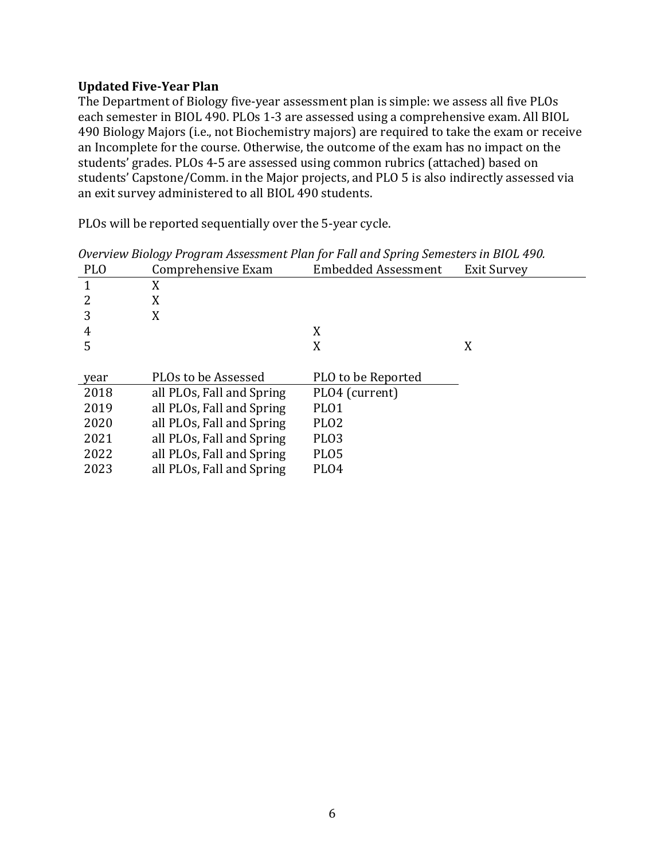#### **Updated Five-Year Plan**

The Department of Biology five-year assessment plan is simple: we assess all five PLOs each semester in BIOL 490. PLOs 1-3 are assessed using a comprehensive exam. All BIOL 490 Biology Majors (i.e., not Biochemistry majors) are required to take the exam or receive an Incomplete for the course. Otherwise, the outcome of the exam has no impact on the students' grades. PLOs 4-5 are assessed using common rubrics (attached) based on students' Capstone/Comm. in the Major projects, and PLO 5 is also indirectly assessed via an exit survey administered to all BIOL 490 students.

PLOs will be reported sequentially over the 5-year cycle.

| <b>PLO</b> | Comprehensive Exam        | <b>Embedded Assessment</b> | <b>Exit Survey</b> |
|------------|---------------------------|----------------------------|--------------------|
|            | X                         |                            |                    |
|            | X                         |                            |                    |
| 3          | X                         |                            |                    |
| 4          |                           | X                          |                    |
| 5          |                           | X                          | X                  |
|            |                           |                            |                    |
|            |                           |                            |                    |
| year       | PLOs to be Assessed       | PLO to be Reported         |                    |
| 2018       | all PLOs, Fall and Spring | PLO4 (current)             |                    |
| 2019       | all PLOs, Fall and Spring | PLO1                       |                    |
| 2020       | all PLOs, Fall and Spring | PLO <sub>2</sub>           |                    |
| 2021       | all PLOs, Fall and Spring | PLO <sub>3</sub>           |                    |
| 2022       | all PLOs, Fall and Spring | PLO5                       |                    |
| 2023       | all PLOs, Fall and Spring | PLO4                       |                    |

*Overview Biology Program Assessment Plan for Fall and Spring Semesters in BIOL 490.*